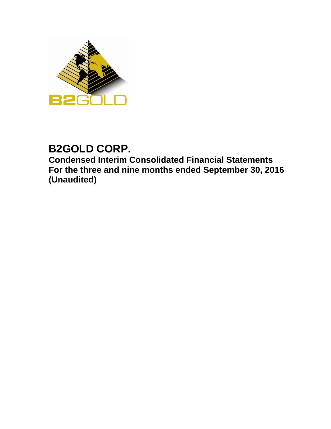

# **B2GOLD CORP.**

**Condensed Interim Consolidated Financial Statements For the three and nine months ended September 30, 2016 (Unaudited)**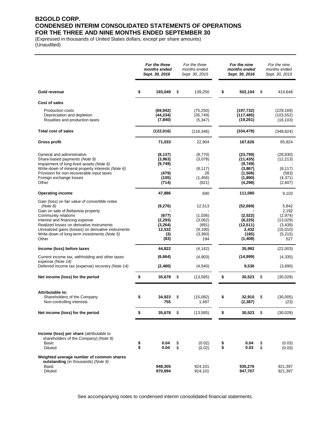### **B2GOLD CORP. CONDENSED INTERIM CONSOLIDATED STATEMENTS OF OPERATIONS FOR THE THREE AND NINE MONTHS ENDED SEPTEMBER 30**

(Expressed in thousands of United States dollars, except per share amounts) (Unaudited)

|                                                                                                                                                                                                                                                                                                                         |          | For the three<br>months ended<br>Sept. 30, 2016                  |          | For the three<br>months ended<br>Sept. 30, 2015                     |          | For the nine<br>months ended<br>Sept. 30, 2016                               |          | For the nine<br>months ended<br>Sept. 30, 2015                                 |
|-------------------------------------------------------------------------------------------------------------------------------------------------------------------------------------------------------------------------------------------------------------------------------------------------------------------------|----------|------------------------------------------------------------------|----------|---------------------------------------------------------------------|----------|------------------------------------------------------------------------------|----------|--------------------------------------------------------------------------------|
| Gold revenue                                                                                                                                                                                                                                                                                                            | \$       | 193,049                                                          | \$       | 139,250                                                             | \$       | 502,104                                                                      | \$       | 414,648                                                                        |
| Cost of sales                                                                                                                                                                                                                                                                                                           |          |                                                                  |          |                                                                     |          |                                                                              |          |                                                                                |
| <b>Production costs</b><br>Depreciation and depletion<br>Royalties and production taxes                                                                                                                                                                                                                                 |          | (69, 942)<br>(44, 234)<br>(7, 840)                               |          | (75, 250)<br>(35, 749)<br>(5, 347)                                  |          | (197, 732)<br>(117, 485)<br>(19,261)                                         |          | (229, 169)<br>(103, 552)<br>(16, 103)                                          |
| <b>Total cost of sales</b>                                                                                                                                                                                                                                                                                              |          | (122, 016)                                                       |          | (116, 346)                                                          |          | (334, 478)                                                                   |          | (348, 824)                                                                     |
| Gross profit                                                                                                                                                                                                                                                                                                            |          | 71,033                                                           |          | 22,904                                                              |          | 167,626                                                                      |          | 65,824                                                                         |
| General and administrative<br>Share-based payments (Note 9)<br>Impairment of long-lived assets (Note 6)<br>Write-down of mineral property interests (Note 6)<br>Provision for non-recoverable input taxes<br>Foreign exchange losses<br>Other                                                                           |          | (8, 137)<br>(3,963)<br>(9,749)<br>(479)<br>(105)<br>(714)        |          | (8,770)<br>(3,078)<br>(8, 117)<br>28<br>(1,456)<br>(821)            |          | (23,799)<br>(11, 435)<br>(9,749)<br>(3,867)<br>(1,508)<br>(1,890)<br>(4,298) |          | (28, 830)<br>(12, 213)<br>(8, 117)<br>(583)<br>(4,371)<br>(2,607)              |
| <b>Operating income</b>                                                                                                                                                                                                                                                                                                 |          | 47,886                                                           |          | 690                                                                 |          | 111,080                                                                      |          | 9,103                                                                          |
| Gain (loss) on fair value of convertible notes<br>(Note 8)<br>Gain on sale of Bellavista property<br>Community relations<br>Interest and financing expense<br>Realized losses on derivative instruments<br>Unrealized gains (losses) on derivative instruments<br>Write-down of long-term investments (Note 5)<br>Other |          | (9,276)<br>(677)<br>(2, 293)<br>(3,264)<br>12,532<br>(3)<br>(83) |          | 12,513<br>(1,036)<br>(3,062)<br>(891)<br>(9, 190)<br>(3,360)<br>194 |          | (52,669)<br>(2,522)<br>(8, 225)<br>(12, 511)<br>2,432<br>(185)<br>(1,408)    |          | 5,842<br>2,192<br>(2,974)<br>(13,029)<br>(3,439)<br>(15,010)<br>(5,215)<br>527 |
| Income (loss) before taxes                                                                                                                                                                                                                                                                                              |          | 44,822                                                           |          | (4, 142)                                                            |          | 35,992                                                                       |          | (22,003)                                                                       |
| Current income tax, withholding and other taxes<br>expense (Note 14)                                                                                                                                                                                                                                                    |          | (6, 664)                                                         |          | (4,903)                                                             |          | (14,999)                                                                     |          | (4, 335)                                                                       |
| Deferred income tax (expense) recovery (Note 14)                                                                                                                                                                                                                                                                        |          | (2,480)                                                          |          | (4, 540)                                                            |          | 9,530                                                                        |          | (3,690)                                                                        |
| Net income (loss) for the period                                                                                                                                                                                                                                                                                        | \$       | 35,678                                                           | \$       | (13, 585)                                                           | \$       | 30,523                                                                       | \$       | (30,028)                                                                       |
| Attributable to:<br>Shareholders of the Company<br>Non-controlling interests                                                                                                                                                                                                                                            | \$       | 34,923<br>755                                                    | \$       | (15,082)<br>1,497                                                   | \$       | 32,910<br>(2,387)                                                            | \$       | (30,005)<br>(23)                                                               |
| Net income (loss) for the period                                                                                                                                                                                                                                                                                        | \$       | 35,678                                                           | \$       | (13,585)                                                            | \$       | 30,523                                                                       | \$       | (30,028)                                                                       |
| Income (loss) per share (attributable to<br>shareholders of the Company) (Note 9)<br>Basic<br><b>Diluted</b>                                                                                                                                                                                                            | \$<br>\$ | 0.04<br>0.04                                                     | \$<br>\$ | (0.02)<br>(0.02)                                                    | \$<br>\$ | 0.04<br>0.03                                                                 | \$<br>\$ | (0.03)<br>(0.03)                                                               |
| Weighted average number of common shares<br>outstanding (in thousands) (Note 9)<br>Basic<br><b>Diluted</b>                                                                                                                                                                                                              |          | 948.305<br>970,994                                               |          | 924,101<br>924,101                                                  |          | 935,276<br>947,707                                                           |          | 921,397<br>921,397                                                             |

See accompanying notes to condensed interim consolidated financial statements.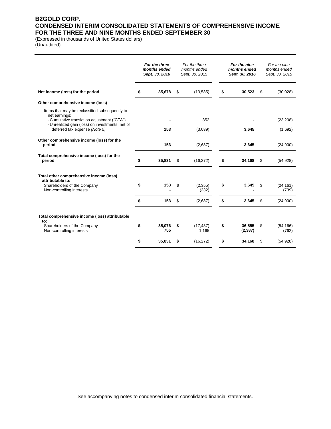### **B2GOLD CORP. CONDENSED INTERIM CONSOLIDATED STATEMENTS OF COMPREHENSIVE INCOME FOR THE THREE AND NINE MONTHS ENDED SEPTEMBER 30**

(Expressed in thousands of United States dollars) (Unaudited)

|                                                                                                | For the three<br>months ended<br>Sept. 30, 2016 |               | For the three<br>months ended<br>Sept. 30, 2015 | For the nine<br>months ended<br>Sept. 30, 2016 |    | For the nine<br>months ended<br>Sept. 30, 2015 |
|------------------------------------------------------------------------------------------------|-------------------------------------------------|---------------|-------------------------------------------------|------------------------------------------------|----|------------------------------------------------|
| Net income (loss) for the period                                                               | \$                                              | 35,678        | \$<br>(13,585)                                  | \$<br>30,523                                   | \$ | (30,028)                                       |
| Other comprehensive income (loss)                                                              |                                                 |               |                                                 |                                                |    |                                                |
| Items that may be reclassified subsequently to<br>net earnings:                                |                                                 |               | 352                                             |                                                |    |                                                |
| - Cumulative translation adjustment ("CTA")<br>- Unrealized gain (loss) on investments, net of |                                                 |               |                                                 |                                                |    | (23, 208)                                      |
| deferred tax expense (Note 5)                                                                  |                                                 | 153           | (3,039)                                         | 3,645                                          |    | (1,692)                                        |
| Other comprehensive income (loss) for the<br>period                                            |                                                 | 153           | (2,687)                                         | 3,645                                          |    | (24,900)                                       |
| Total comprehensive income (loss) for the<br>period                                            | \$                                              | 35,831        | \$<br>(16, 272)                                 | \$<br>34,168                                   | \$ | (54, 928)                                      |
| Total other comprehensive income (loss)<br>attributable to:                                    |                                                 |               |                                                 |                                                |    |                                                |
| Shareholders of the Company<br>Non-controlling interests                                       | \$                                              | 153           | \$<br>(2,355)<br>(332)                          | \$<br>3,645                                    | S  | (24, 161)<br>(739)                             |
|                                                                                                | \$                                              | 153           | \$<br>(2,687)                                   | \$<br>3,645                                    | \$ | (24,900)                                       |
| Total comprehensive income (loss) attributable                                                 |                                                 |               |                                                 |                                                |    |                                                |
| to:<br>Shareholders of the Company<br>Non-controlling interests                                | \$                                              | 35,076<br>755 | \$<br>(17, 437)<br>1,165                        | \$<br>36,555<br>(2, 387)                       | \$ | (54, 166)<br>(762)                             |
|                                                                                                | \$                                              | 35,831        | \$<br>(16, 272)                                 | \$<br>34,168                                   | \$ | (54, 928)                                      |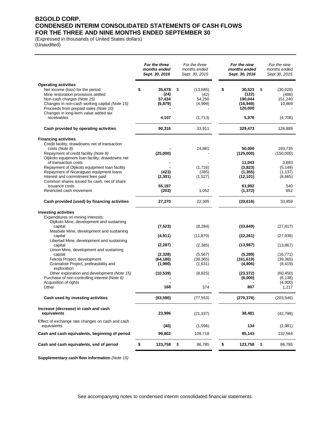### **B2GOLD CORP. CONDENSED INTERIM CONSOLIDATED STATEMENTS OF CASH FLOWS FOR THE THREE AND NINE MONTHS ENDED SEPTEMBER 30**

(Expressed in thousands of United States dollars) (Unaudited)

|                                                                                                                                                                                                                                                                                                                                                     | For the three<br>months ended<br>Sept. 30, 2016 | For the three<br>months ended<br>Sept. 30, 2015 | For the nine<br>months ended<br>Sept. 30, 2016                    | For the nine<br>months ended<br>Sept. 30, 2015                   |
|-----------------------------------------------------------------------------------------------------------------------------------------------------------------------------------------------------------------------------------------------------------------------------------------------------------------------------------------------------|-------------------------------------------------|-------------------------------------------------|-------------------------------------------------------------------|------------------------------------------------------------------|
| <b>Operating activities</b><br>Net income (loss) for the period<br>Mine restoration provisions settled<br>Non-cash charges (Note 15)<br>Changes in non-cash working capital (Note 15)<br>Proceeds from prepaid sales (Note 10)<br>Changes in long-term value added tax                                                                              | \$<br>35.678<br>(24)<br>57,434<br>(6, 879)      | \$<br>(13, 585)<br>(42)<br>54,250<br>(4,999)    | \$<br>30,523<br>(122)<br>190,044<br>(16, 948)<br>120,000          | \$<br>(30,028)<br>(486)<br>151,240<br>10,869                     |
| receivables                                                                                                                                                                                                                                                                                                                                         | 4,107                                           | (1,713)                                         | 5,976                                                             | (4,706)                                                          |
| Cash provided by operating activities                                                                                                                                                                                                                                                                                                               | 90,316                                          | 33,911                                          | 329,473                                                           | 126,889                                                          |
| <b>Financing activities</b><br>Credit facility, drawdowns net of transaction<br>costs (Note 8)<br>Repayment of credit facility (Note 8)<br>Otjikoto equipment loan facility, drawdowns net<br>of transaction costs<br>Repayment of Otjikoto equipment loan facility<br>Repayment of Nicaraguan equipment loans<br>Interest and commitment fees paid | (25,000)<br>(423)<br>(2, 301)                   | 24,881<br>(1,716)<br>(385)<br>(1,527)           | 50,000<br>(125,000)<br>11,043<br>(3,823)<br>(1, 355)<br>(12, 101) | 193,735<br>(150,000)<br>3,883<br>(5, 149)<br>(1, 137)<br>(8,665) |
| Common shares issued for cash, net of share<br>issuance costs<br>Restricted cash movement                                                                                                                                                                                                                                                           | 55,197<br>(203)                                 | 1,052                                           | 61,992<br>(1, 372)                                                | 540<br>652                                                       |
| Cash provided (used) by financing activities                                                                                                                                                                                                                                                                                                        | 27,270                                          | 22,305                                          | (20, 616)                                                         | 33,859                                                           |
| <b>Investing activities</b><br>Expenditures on mining interests:<br>Otjikoto Mine, development and sustaining<br>capital<br>Masbate Mine, development and sustaining                                                                                                                                                                                | (7, 523)                                        | (8, 284)                                        | (33, 849)                                                         | (27, 817)                                                        |
| capital<br>Libertad Mine, development and sustaining<br>capital                                                                                                                                                                                                                                                                                     | (4, 911)<br>(2, 287)                            | (11, 870)<br>(2, 385)                           | (22, 261)<br>(13,987)                                             | (27, 936)<br>(13, 867)                                           |
| Limon Mine, development and sustaining<br>capital<br>Fekola Project, development<br>Gramalote Project, prefeasibility and<br>exploration                                                                                                                                                                                                            | (2,328)<br>(64, 180)<br>(1,990)                 | (5, 567)<br>(39, 365)<br>(1,631)                | (5,289)<br>(161, 619)<br>(4,806)                                  | (16, 771)<br>(39, 365)<br>(8, 419)                               |
| Other exploration and development (Note 15)<br>Purchase of non-controlling interest (Note 6)<br>Acquisition of rights<br>Other                                                                                                                                                                                                                      | (10, 539)<br>168                                | (8,825)<br>374                                  | (23, 372)<br>(6,000)<br>807                                       | (60, 450)<br>(6, 138)<br>(4,000)<br>1,217                        |
| Cash used by investing activities                                                                                                                                                                                                                                                                                                                   | (93, 590)                                       | (77, 553)                                       | (270, 376)                                                        | (203, 546)                                                       |
| Increase (decrease) in cash and cash<br>equivalents                                                                                                                                                                                                                                                                                                 | 23,996                                          | (21, 337)                                       | 38,481                                                            | (42, 798)                                                        |
| Effect of exchange rate changes on cash and cash<br>equivalents                                                                                                                                                                                                                                                                                     | (40)                                            | (1,596)                                         | 134                                                               | (2,981)                                                          |
| Cash and cash equivalents, beginning of period                                                                                                                                                                                                                                                                                                      | 99,802                                          | 109,718                                         | 85,143                                                            | 132,564                                                          |
| Cash and cash equivalents, end of period                                                                                                                                                                                                                                                                                                            | \$<br>123,758                                   | \$<br>86,785                                    | \$<br>123,758                                                     | \$<br>86,785                                                     |

**Supplementary cash flow information** *(Note 15)*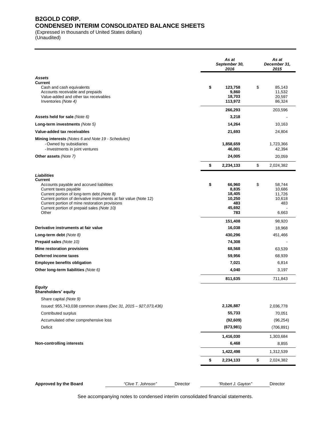### **B2GOLD CORP. CONDENSED INTERIM CONSOLIDATED BALANCE SHEETS**

(Expressed in thousands of United States dollars)

(Unaudited)

|                                                                                                                                                                                                                                                                                                                                |                    |          | As at<br>September 30,<br>2016                                               | As at<br>December 31,<br>2015                                        |
|--------------------------------------------------------------------------------------------------------------------------------------------------------------------------------------------------------------------------------------------------------------------------------------------------------------------------------|--------------------|----------|------------------------------------------------------------------------------|----------------------------------------------------------------------|
| Assets                                                                                                                                                                                                                                                                                                                         |                    |          |                                                                              |                                                                      |
| <b>Current</b><br>Cash and cash equivalents<br>Accounts receivable and prepaids<br>Value-added and other tax receivables<br>Inventories (Note 4)                                                                                                                                                                               |                    |          | \$<br>123,758<br>9,860<br>18,703<br>113,972                                  | \$<br>85,143<br>11,532<br>20,597<br>86,324                           |
|                                                                                                                                                                                                                                                                                                                                |                    |          | 266,293                                                                      | 203,596                                                              |
| Assets held for sale (Note 6)                                                                                                                                                                                                                                                                                                  |                    |          | 3,218                                                                        |                                                                      |
| Long-term investments (Note 5)                                                                                                                                                                                                                                                                                                 |                    |          | 14,264                                                                       | 10,163                                                               |
| Value-added tax receivables                                                                                                                                                                                                                                                                                                    |                    |          | 21,693                                                                       | 24,804                                                               |
| <b>Mining interests</b> (Notes 6 and Note 19 - Schedules)<br>- Owned by subsidiaries<br>- Investments in joint ventures                                                                                                                                                                                                        |                    |          | 1,858,659<br>46,001                                                          | 1,723,366<br>42,394                                                  |
| Other assets (Note 7)                                                                                                                                                                                                                                                                                                          |                    |          | 24,005                                                                       | 20,059                                                               |
|                                                                                                                                                                                                                                                                                                                                |                    |          | \$<br>2,234,133                                                              | \$<br>2,024,382                                                      |
| Liabilities<br><b>Current</b><br>Accounts payable and accrued liabilities<br>Current taxes payable<br>Current portion of long-term debt (Note 8)<br>Current portion of derivative instruments at fair value (Note 12)<br>Current portion of mine restoration provisions<br>Current portion of prepaid sales (Note 10)<br>Other |                    |          | \$<br>66,960<br>8,835<br>18,405<br>10,250<br>483<br>45,692<br>783<br>151,408 | \$<br>58,744<br>10,686<br>11,726<br>10,618<br>483<br>6,663<br>98,920 |
| Derivative instruments at fair value                                                                                                                                                                                                                                                                                           |                    |          | 16,038                                                                       | 18,968                                                               |
| Long-term debt (Note 8)                                                                                                                                                                                                                                                                                                        |                    |          | 430,296                                                                      | 451,466                                                              |
| Prepaid sales (Note 10)                                                                                                                                                                                                                                                                                                        |                    |          | 74,308                                                                       |                                                                      |
| Mine restoration provisions                                                                                                                                                                                                                                                                                                    |                    |          | 68,568                                                                       | 63,539                                                               |
| Deferred income taxes                                                                                                                                                                                                                                                                                                          |                    |          | 59,956                                                                       | 68,939                                                               |
| <b>Employee benefits obligation</b><br>Other long-term liabilities (Note 6)                                                                                                                                                                                                                                                    |                    |          | 7,021<br>4,040                                                               | 6,814<br>3,197                                                       |
|                                                                                                                                                                                                                                                                                                                                |                    |          |                                                                              |                                                                      |
| Equity<br>Shareholders' equity<br>Share capital (Note 9)                                                                                                                                                                                                                                                                       |                    |          | 811,635                                                                      | 711,843                                                              |
| Issued: 955,743,038 common shares (Dec 31, 2015 - 927,073,436)                                                                                                                                                                                                                                                                 |                    |          | 2,126,887                                                                    | 2,036,778                                                            |
| Contributed surplus                                                                                                                                                                                                                                                                                                            |                    |          | 55,733                                                                       | 70,051                                                               |
| Accumulated other comprehensive loss                                                                                                                                                                                                                                                                                           |                    |          | (92, 609)                                                                    | (96, 254)                                                            |
| Deficit                                                                                                                                                                                                                                                                                                                        |                    |          | (673,981)                                                                    | (706, 891)                                                           |
| <b>Non-controlling interests</b>                                                                                                                                                                                                                                                                                               |                    |          | 1,416,030<br>6,468                                                           | 1,303,684<br>8,855                                                   |
|                                                                                                                                                                                                                                                                                                                                |                    |          | 1,422,498                                                                    | 1,312,539                                                            |
|                                                                                                                                                                                                                                                                                                                                |                    |          | \$<br>2,234,133                                                              | \$<br>2,024,382                                                      |
| Approved by the Board                                                                                                                                                                                                                                                                                                          | "Clive T. Johnson" | Director | "Robert J. Gayton"                                                           | Director                                                             |

See accompanying notes to condensed interim consolidated financial statements.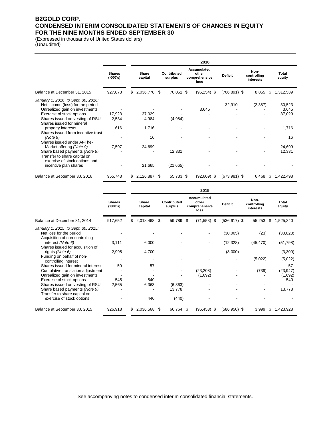### **B2GOLD CORP. CONDENSED INTERIM CONSOLIDATED STATEMENTS OF CHANGES IN EQUITY FOR THE NINE MONTHS ENDED SEPTEMBER 30**

(Expressed in thousands of United States dollars) (Unaudited)

|                                                                                                                                                                                                                                                                                                                                          |                                 |    |                                          |     |                        |   | 2016                                          |                 |                                  |                                                    |
|------------------------------------------------------------------------------------------------------------------------------------------------------------------------------------------------------------------------------------------------------------------------------------------------------------------------------------------|---------------------------------|----|------------------------------------------|-----|------------------------|---|-----------------------------------------------|-----------------|----------------------------------|----------------------------------------------------|
|                                                                                                                                                                                                                                                                                                                                          | <b>Shares</b><br>('000's)       |    | Share<br>capital                         |     | Contributed<br>surplus |   | Accumulated<br>other<br>comprehensive<br>loss | <b>Deficit</b>  | Non-<br>controlling<br>interests | Total<br>equity                                    |
| Balance at December 31, 2015                                                                                                                                                                                                                                                                                                             | 927,073                         | S. | 2,036,778 \$                             |     | 70,051                 | S | $(96, 254)$ \$                                | $(706, 891)$ \$ | 8,855<br>\$                      | 1,312,539                                          |
| January 1, 2016 to Sept. 30, 2016:<br>Net income (loss) for the period<br>Unrealized gain on investments<br>Exercise of stock options<br>Shares issued on vesting of RSU<br>Shares issued for mineral<br>property interests<br>Shares issued from incentive trust<br>(Note 9)<br>Shares issued under At-The-<br>Market offering (Note 9) | 17,923<br>2,534<br>616<br>7,597 |    | 37,029<br>4,984<br>1,716<br>16<br>24,699 |     | (4,984)                |   | 3,645                                         | 32,910          | (2,387)                          | 30,523<br>3,645<br>37,029<br>1,716<br>16<br>24,699 |
| Share based payments (Note 9)<br>Transfer to share capital on<br>exercise of stock options and                                                                                                                                                                                                                                           |                                 |    |                                          |     | 12,331                 |   |                                               |                 | ۰                                | 12,331                                             |
| incentive plan shares                                                                                                                                                                                                                                                                                                                    |                                 |    | 21,665                                   |     | (21, 665)              |   |                                               |                 |                                  |                                                    |
| Balance at September 30, 2016                                                                                                                                                                                                                                                                                                            | 955,743                         | S  | 2,126,887                                | \$. | 55,733 \$              |   | $(92,609)$ \$                                 | $(673,981)$ \$  | 6,468<br>S                       | 1,422,498                                          |

|                                                                                         |                           |                    |      |                        |      | 2015                                          |                 |                                  |                 |
|-----------------------------------------------------------------------------------------|---------------------------|--------------------|------|------------------------|------|-----------------------------------------------|-----------------|----------------------------------|-----------------|
|                                                                                         | <b>Shares</b><br>('000's) | Share<br>capital   |      | Contributed<br>surplus |      | Accumulated<br>other<br>comprehensive<br>loss | <b>Deficit</b>  | Non-<br>controlling<br>interests | Total<br>equity |
| Balance at December 31, 2014                                                            | 917,652                   | \$<br>2,018,468 \$ |      | 59,789                 | - \$ | $(71, 553)$ \$                                | $(536, 617)$ \$ | 55,253                           | \$<br>1,525,340 |
| January 1, 2015 to Sept. 30, 2015:<br>Net loss for the period                           |                           |                    |      |                        |      |                                               | (30,005)        | (23)                             | (30,028)        |
| Acquisition of non-controlling<br>interest (Note 6)<br>Shares issued for acquisition of | 3,111                     | 6,000              |      |                        |      |                                               | (12, 328)       | (45, 470)                        | (51, 798)       |
| rights (Note 6)                                                                         | 2,995                     | 4,700              |      |                        |      |                                               | (8,000)         |                                  | (3,300)         |
| Funding on behalf of non-<br>controlling interest                                       |                           |                    |      |                        |      |                                               |                 | (5,022)                          | (5,022)         |
| Shares issued for mineral interest                                                      | 50                        | 57                 |      |                        |      |                                               |                 |                                  | 57              |
| Cumulative translation adjustment                                                       |                           |                    |      |                        |      | (23, 208)                                     |                 | (739)                            | (23, 947)       |
| Unrealized gain on investments                                                          |                           |                    |      |                        |      | (1,692)                                       |                 |                                  | (1,692)         |
| Exercise of stock options                                                               | 545                       | 540                |      |                        |      |                                               |                 |                                  | 540             |
| Shares issued on vesting of RSU                                                         | 2,565                     | 6,363              |      | (6, 363)               |      |                                               |                 |                                  |                 |
| Share based payments (Note 9)<br>Transfer to share capital on                           |                           |                    |      | 13,778                 |      |                                               |                 |                                  | 13,778          |
| exercise of stock options                                                               |                           | 440                |      | (440)                  |      |                                               |                 |                                  |                 |
| Balance at September 30, 2015                                                           | 926,918                   | 2,036,568          | - \$ | 66,764                 | \$.  | $(96, 453)$ \$                                | $(586, 950)$ \$ | 3,999                            | \$<br>1,423,928 |

See accompanying notes to condensed interim consolidated financial statements.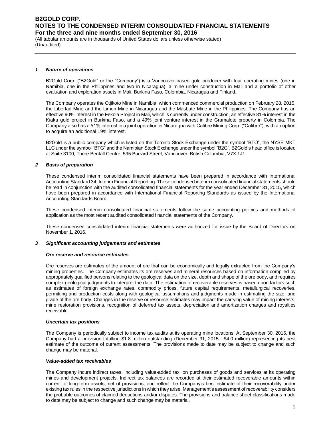(All tabular amounts are in thousands of United States dollars unless otherwise stated) (Unaudited)

#### *1 Nature of operations*

B2Gold Corp. ("B2Gold" or the "Company") is a Vancouver-based gold producer with four operating mines (one in Namibia, one in the Philippines and two in Nicaragua), a mine under construction in Mali and a portfolio of other evaluation and exploration assets in Mali, Burkina Faso, Colombia, Nicaragua and Finland.

The Company operates the Otjikoto Mine in Namibia, which commenced commercial production on February 28, 2015, the Libertad Mine and the Limon Mine in Nicaragua and the Masbate Mine in the Philippines. The Company has an effective 90% interest in the Fekola Project in Mali, which is currently under construction, an effective 81% interest in the Kiaka gold project in Burkina Faso, and a 49% joint venture interest in the Gramalote property in Colombia. The Company also has a 51% interest in a joint operation in Nicaragua with Calibre Mining Corp. ("Calibre"), with an option to acquire an additional 19% interest.

B2Gold is a public company which is listed on the Toronto Stock Exchange under the symbol "BTO", the NYSE MKT LLC under the symbol "BTG" and the Namibian Stock Exchange under the symbol "B2G". B2Gold's head office is located at Suite 3100, Three Bentall Centre, 595 Burrard Street, Vancouver, British Columbia, V7X 1J1.

### *2 Basis of preparation*

These condensed interim consolidated financial statements have been prepared in accordance with International Accounting Standard 34, Interim Financial Reporting. These condensed interim consolidated financial statements should be read in conjunction with the audited consolidated financial statements for the year ended December 31, 2015, which have been prepared in accordance with International Financial Reporting Standards as issued by the International Accounting Standards Board.

These condensed interim consolidated financial statements follow the same accounting policies and methods of application as the most recent audited consolidated financial statements of the Company.

These condensed consolidated interim financial statements were authorized for issue by the Board of Directors on November 1, 2016.

#### *3 Significant accounting judgements and estimates*

#### *Ore reserve and resource estimates*

Ore reserves are estimates of the amount of ore that can be economically and legally extracted from the Company's mining properties. The Company estimates its ore reserves and mineral resources based on information compiled by appropriately qualified persons relating to the geological data on the size, depth and shape of the ore body, and requires complex geological judgments to interpret the data. The estimation of recoverable reserves is based upon factors such as estimates of foreign exchange rates, commodity prices, future capital requirements, metallurgical recoveries, permitting and production costs along with geological assumptions and judgments made in estimating the size, and grade of the ore body. Changes in the reserve or resource estimates may impact the carrying value of mining interests, mine restoration provisions, recognition of deferred tax assets, depreciation and amortization charges and royalties receivable.

#### *Uncertain tax positions*

The Company is periodically subject to income tax audits at its operating mine locations. At September 30, 2016, the Company had a provision totalling \$1.8 million outstanding (December 31, 2015 - \$4.0 million) representing its best estimate of the outcome of current assessments. The provisions made to date may be subject to change and such change may be material.

#### *Value-added tax receivables*

The Company incurs indirect taxes, including value-added tax, on purchases of goods and services at its operating mines and development projects. Indirect tax balances are recorded at their estimated recoverable amounts within current or long-term assets, net of provisions, and reflect the Company's best estimate of their recoverability under existing tax rules in the respective jurisdictions in which they arise. Management's assessment of recoverability considers the probable outcomes of claimed deductions and/or disputes. The provisions and balance sheet classifications made to date may be subject to change and such change may be material.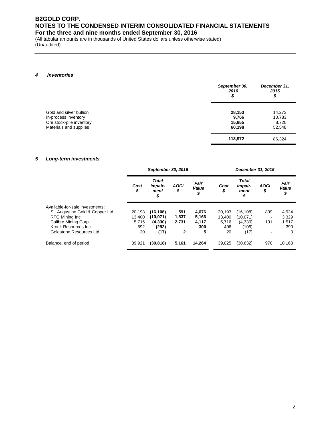(All tabular amounts are in thousands of United States dollars unless otherwise stated) (Unaudited)

### *4 Inventories*

|                                                                                                       | September 30,<br>2016<br>\$         | December 31,<br>2015<br>\$          |
|-------------------------------------------------------------------------------------------------------|-------------------------------------|-------------------------------------|
| Gold and silver bullion<br>In-process inventory<br>Ore stock-pile inventory<br>Materials and supplies | 28,153<br>9,766<br>15,855<br>60,198 | 14,273<br>10,783<br>8,720<br>52,548 |
|                                                                                                       | 113,972                             | 86,324                              |

### *5 Long-term investments*

|                                  | September 30, 2016 |                                       |                   |                     | December 31, 2015 |                                       |                   |                     |  |  |
|----------------------------------|--------------------|---------------------------------------|-------------------|---------------------|-------------------|---------------------------------------|-------------------|---------------------|--|--|
|                                  | Cost<br>\$         | <b>Total</b><br>Impair-<br>ment<br>\$ | <b>AOCI</b><br>\$ | Fair<br>Value<br>\$ | Cost<br>\$        | <b>Total</b><br>Impair-<br>ment<br>\$ | <b>AOCI</b><br>\$ | Fair<br>Value<br>\$ |  |  |
| Available-for-sale investments:  |                    |                                       |                   |                     |                   |                                       |                   |                     |  |  |
| St. Augustine Gold & Copper Ltd. | 20.193             | (16,108)                              | 591               | 4,676               | 20.193            | (16,108)                              | 839               | 4,924               |  |  |
| RTG Mining Inc.                  | 13,400             | (10,071)                              | 1,837             | 5,166               | 13,400            | (10,071)                              |                   | 3,329               |  |  |
| Calibre Mining Corp.             | 5.716              | (4, 330)                              | 2.731             | 4,117               | 5,716             | (4,330)                               | 131               | 1,517               |  |  |
| Kronk Resources Inc.             | 592                | (292)                                 |                   | 300                 | 496               | (106)                                 |                   | 390                 |  |  |
| Goldstone Resources Ltd.         | 20                 | (17)                                  | 2                 | 5                   | 20                | (17)                                  | $\blacksquare$    | 3                   |  |  |
| Balance, end of period           | 39,921             | (30,818)                              | 5,161             | 14,264              | 39,825            | (30, 632)                             | 970               | 10,163              |  |  |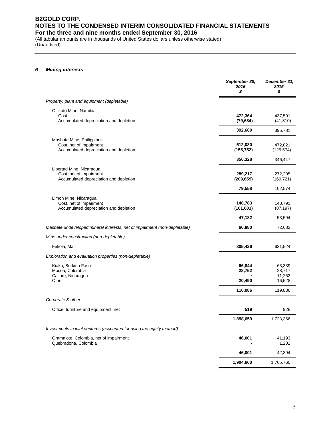(All tabular amounts are in thousands of United States dollars unless otherwise stated) (Unaudited)

### *6 Mining interests*

|                                                                                                | September 30,<br>2016<br>\$ | December 31,<br>2015<br>\$ |
|------------------------------------------------------------------------------------------------|-----------------------------|----------------------------|
| Property, plant and equipment (depletable)                                                     |                             |                            |
| Otjikoto Mine, Namibia                                                                         | 472,364                     | 437,591                    |
| Cost<br>Accumulated depreciation and depletion                                                 | (79, 684)                   | (41, 810)                  |
|                                                                                                | 392,680                     | 395,781                    |
| Masbate Mine, Philippines<br>Cost, net of impairment<br>Accumulated depreciation and depletion | 512,080<br>(155, 752)       | 472,021<br>(125, 574)      |
|                                                                                                | 356,328                     | 346,447                    |
| Libertad Mine, Nicaragua<br>Cost, net of impairment<br>Accumulated depreciation and depletion  | 289,217<br>(209, 659)       | 272,295<br>(169, 721)      |
|                                                                                                | 79,558                      | 102,574                    |
| Limon Mine, Nicaragua<br>Cost, net of impairment<br>Accumulated depreciation and depletion     | 148,783<br>(101, 601)       | 140,791<br>(87, 197)       |
|                                                                                                | 47,182                      | 53,594                     |
| Masbate undeveloped mineral interests, net of impairment (non-depletable)                      | 60,880                      | 72,682                     |
| Mine under construction (non-depletable)                                                       |                             |                            |
| Fekola, Mali                                                                                   | 805,426                     | 631,524                    |
| Exploration and evaluation properties (non-depletable)                                         |                             |                            |
| Kiaka, Burkina Faso<br>Mocoa, Colombia<br>Calibre, Nicaragua                                   | 66,844<br>28,752            | 63,339<br>28,717<br>11,252 |
| Other                                                                                          | 20,490                      | 16,528                     |
|                                                                                                | 116,086                     | 119,836                    |
| Corporate & other                                                                              |                             |                            |
| Office, furniture and equipment, net                                                           | 519                         | 928                        |
|                                                                                                | 1,858,659                   | 1,723,366                  |
| Investments in joint ventures (accounted for using the equity method)                          |                             |                            |
| Gramalote, Colombia, net of impairment<br>Quebradona, Colombia                                 | 46,001                      | 41,193<br>1,201            |
|                                                                                                | 46,001                      | 42,394                     |
|                                                                                                | 1,904,660                   | 1,765,760                  |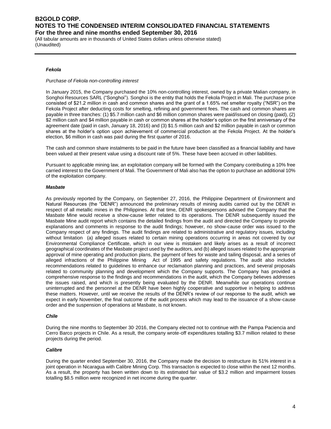(All tabular amounts are in thousands of United States dollars unless otherwise stated) (Unaudited)

### *Fekola*

### *Purchase of Fekola non-controlling interest*

In January 2015, the Company purchased the 10% non-controlling interest, owned by a private Malian company, in Songhoi Resources SARL ("Songhoi"). Songhoi is the entity that holds the Fekola Project in Mali. The purchase price consisted of \$21.2 million in cash and common shares and the grant of a 1.65% net smelter royalty ("NSR") on the Fekola Project after deducting costs for smelting, refining and government fees. The cash and common shares are payable in three tranches: (1) \$5.7 million cash and \$6 million common shares were paid/issued on closing (paid), (2) \$2 million cash and \$4 million payable in cash or common shares at the holder's option on the first anniversary of the agreement date (paid in cash, January 18, 2016) and (3) \$1.5 million cash and \$2 million payable in cash or common shares at the holder's option upon achievement of commercial production at the Fekola Project. At the holder's election, \$6 million in cash was paid during the first quarter of 2016.

The cash and common share instalments to be paid in the future have been classified as a financial liability and have been valued at their present value using a discount rate of 5%. These have been accrued in other liabilities.

Pursuant to applicable mining law, an exploitation company will be formed with the Company contributing a 10% free carried interest to the Government of Mali. The Government of Mali also has the option to purchase an additional 10% of the exploitation company.

### *Masbate*

As previously reported by the Company, on September 27, 2016, the Philippine Department of Environment and Natural Resources (the "DENR") announced the preliminary results of mining audits carried out by the DENR in respect of all metallic mines in the Philippines. At that time, DENR spokespersons advised the Company that the Masbate Mine would receive a show-cause letter related to its operations. The DENR subsequently issued the Masbate Mine audit report which contains the detailed findings from the audit and directed the Company to provide explanations and comments in response to the audit findings; however, no show-cause order was issued to the Company respect of any findings. The audit findings are related to administrative and regulatory issues, including without limitation (a) alleged issues related to certain mining operations occurring in areas not covered by our Environmental Compliance Certificate, which in our view is mistaken and likely arises as a result of incorrect geographical coordinates of the Masbate project used by the auditors, and (b) alleged issues related to the appropriate approval of mine operating and production plans, the payment of fees for waste and tailing disposal, and a series of alleged infractions of the Philippine Mining Act of 1995 and safety regulations. The audit also includes recommendations related to guidelines to enhance our reclamation planning and practices, and several proposals related to community planning and development which the Company supports. The Company has provided a comprehensive response to the findings and recommendations in the audit, which the Company believes addresses the issues raised, and which is presently being evaluated by the DENR. Meanwhile our operations continue uninterrupted and the personnel at the DENR have been highly cooperative and supportive in helping to address these matters. However, until we receive the results of the DENR's review of our response to the audit, which we expect in early November, the final outcome of the audit process which may lead to the issuance of a show-cause order and the suspension of operations at Masbate, is not known.

#### *Chile*

During the nine months to September 30 2016, the Company elected not to continue with the Pampa Paciencia and Cerro Barco projects in Chile. As a result, the company wrote-off expenditures totalling \$3.7 million related to these projects during the period.

### *Calibre*

During the quarter ended September 30, 2016, the Company made the decision to restructure its 51% interest in a joint operation in Nicaragua with Calibre Mining Corp. This transacton is expected to close within the next 12 months. As a result, the property has been written down to its estimated fair value of \$3.2 million and impairment losses totalling \$8.5 million were recognized in net income during the quarter.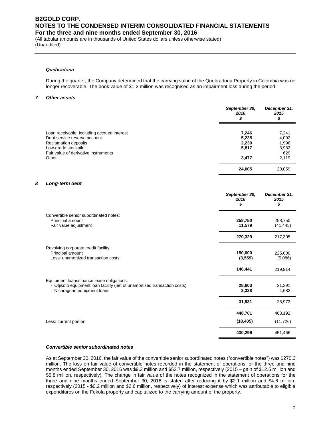(All tabular amounts are in thousands of United States dollars unless otherwise stated) (Unaudited)

#### *Quebradona*

During the quarter, the Company determined that the carrying value of the Quebradona Property in Colombia was no longer recoverable. The book value of \$1.2 million was recognised as an impairment loss during the period.

#### *7 Other assets*

|                                                                             | September 30,<br>2016<br>\$ | December 31,<br>2015<br>\$ |
|-----------------------------------------------------------------------------|-----------------------------|----------------------------|
| Loan receivable, including accrued interest<br>Debt service reserve account | 7,246<br>5,235              | 7,241<br>4,092             |
| Reclamation deposits<br>Low-grade stockpile                                 | 2,230<br>5,817              | 1,996<br>3,982             |
| Fair value of derivative instruments<br>Other                               | 3,477                       | 629<br>2.119               |
|                                                                             | 24,005                      | 20,059                     |

### *8 Long-term debt*

|                                                                                                                                                         | September 30,<br>2016<br>\$ | December 31,<br>2015<br>\$ |
|---------------------------------------------------------------------------------------------------------------------------------------------------------|-----------------------------|----------------------------|
| Convertible senior subordinated notes:<br>Principal amount<br>Fair value adjustment                                                                     | 258,750<br>11,579           | 258,750<br>(41, 445)       |
|                                                                                                                                                         | 270,329                     | 217,305                    |
| Revolving corporate credit facility:<br>Principal amount<br>Less: unamortized transaction costs                                                         | 150,000<br>(3, 559)         | 225,000<br>(5,086)         |
|                                                                                                                                                         | 146,441                     | 219,914                    |
| Equipment loans/finance lease obligations:<br>- Otjikoto equipment loan facility (net of unamortized transaction costs)<br>- Nicaraguan equipment loans | 28,603<br>3,328             | 21,291<br>4,682            |
|                                                                                                                                                         | 31,931                      | 25,973                     |
|                                                                                                                                                         | 448,701                     | 463,192                    |
| Less: current portion                                                                                                                                   | (18, 405)                   | (11, 726)                  |
|                                                                                                                                                         | 430,296                     | 451,466                    |

### *Convertible senior subordinated notes*

As at September 30, 2016, the fair value of the convertible senior subordinated notes ("convertible notes") was \$270.3 million. The loss on fair value of convertible notes recorded in the statement of operations for the three and nine months ended September 30, 2016 was \$9.3 million and \$52.7 million, respectively (2015 – gain of \$12.5 million and \$5.8 million, respectively). The change in fair value of the notes recognized in the statement of operations for the three and nine months ended September 30, 2016 is stated after reducing it by \$2.1 million and \$4.6 million, respectively (2015 - \$0.2 million and \$2.6 million, respectively) of interest expense which was attributable to eligible expenditures on the Fekola property and capitalized to the carrying amount of the property.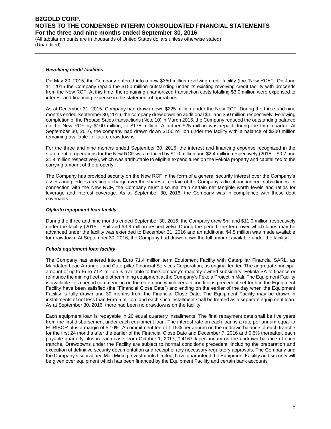(All tabular amounts are in thousands of United States dollars unless otherwise stated) (Unaudited)

#### *Revolving credit facilities*

On May 20, 2015, the Company entered into a new \$350 million revolving credit facility (the "New RCF"). On June 11, 2015 the Company repaid the \$150 million outstanding under its existing revolving credit facility with proceeds from the New RCF. At this time, the remaining unamortized transaction costs totalling \$3.0 million were expensed to interest and financing expense in the statement of operations.

As at December 31, 2015, Company had drawn down \$225 million under the New RCF. During the three and nine months ended September 30, 2016, the company drew down an additional \$nil and \$50 million respectively. Following completion of the Prepaid Sales transactions (Note 10) in March 2016, the Company reduced the outstanding balance on the New RCF by \$100 million, to \$175 million. A further \$25 million was repaid during the third quarter. At September 30, 2016, the company had drawn down \$150 million under the facility with a balance of \$200 million remaining available for future drawdowns.

For the three and nine months ended September 30, 2016, the interest and financing expense recognized in the statement of operations for the New RCF was reduced by \$1.0 million and \$2.4 million respectively (2015 – \$0.7 and \$1.4 million respectively), which was attributable to eligible expenditures on the Fekola property and capitalized to the carrying amount of the property.

The Company has provided security on the New RCF in the form of a general security interest over the Company's assets and pledges creating a charge over the shares of certain of the Company's direct and indirect subsidiaries. In connection with the New RCF, the Company must also maintain certain net tangible worth levels and ratios for leverage and interest coverage. As at September 30, 2016, the Company was in compliance with these debt covenants.

### *Otjikoto equipment loan facility*

During the three and nine months ended September 30, 2016, the Company drew \$nil and \$11.0 million respectively under the facility (2015 – \$nil and \$3.9 million respectively). During the period, the term over which loans may be advanced under the facility was extended to December 31, 2016 and an additional \$4.5 million was made available for drawdown. At September 30, 2016, the Company had drawn down the full amount available under the facility.

### *Fekola equipment loan facility*

The Company has entered into a Euro 71.4 million term Equipment Facility with Caterpillar Financial SARL, as Mandated Lead Arranger, and Caterpillar Financial Services Corporation, as original lender. The aggregate principal amount of up to Euro 71.4 million is available to the Company's majority-owned subsidiary, Fekola SA to finance or refinance the mining fleet and other mining equipment at the Company's Fekola Project in Mali. The Equipment Facility is available for a period commencing on the date upon which certain conditions precedent set forth in the Equipment Facility have been satisfied (the "Financial Close Date") and ending on the earlier of the day when the Equipment Facility is fully drawn and 30 months from the Financial Close Date. The Equipment Facility may be drawn in installments of not less than Euro 5 million, and each such installment shall be treated as a separate equipment loan. As at September 30, 2016, there had been no drawdowns on the facility.

Each equipment loan is repayable in 20 equal quarterly installments. The final repayment date shall be five years from the first disbursement under each equipment loan. The interest rate on each loan is a rate per annum equal to EURIBOR plus a margin of 5.10%. A commitment fee of 1.15% per annum on the undrawn balance of each tranche for the first 24 months after the earlier of the Financial Close Date and December 7, 2016 and 0.5% thereafter, each payable quarterly plus in each case, from October 1, 2017, 0.4167% per annum on the undrawn balance of each tranche. Drawdowns under the Facility are subject to normal conditions precedent, including the preparation and execution of definitive security documentation and receipt of any necessary regulatory approvals. The Company and the Company's subsidiary, Mali Mining Investments Limited, have guaranteed the Equipment Facility and security will be given over equipment which has been financed by the Equipment Facility and certain bank accounts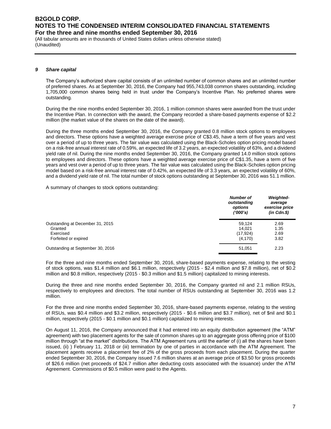(All tabular amounts are in thousands of United States dollars unless otherwise stated) (Unaudited)

### *9 Share capital*

The Company's authorized share capital consists of an unlimited number of common shares and an unlimited number of preferred shares. As at September 30, 2016, the Company had 955,743,038 common shares outstanding, including 1,705,000 common shares being held in trust under the Company's Incentive Plan. No preferred shares were outstanding.

During the the nine months ended September 30, 2016, 1 million common shares were awarded from the trust under the Incentive Plan. In connection with the award, the Company recorded a share-based payments expense of \$2.2 million (the market value of the shares on the date of the award).

During the three months ended September 30, 2016, the Company granted 0.8 million stock options to employees and directors. These options have a weighted average exercise price of C\$3.45, have a term of five years and vest over a period of up to three years. The fair value was calculated using the Black-Scholes option pricing model based on a risk-free annual interest rate of 0.59%, an expected life of 3.2 years, an expected volatility of 63%, and a dividend yield rate of nil. During the nine months ended September 30, 2016, the Company granted 14.0 million stock options to employees and directors. These options have a weighted average exercise price of C\$1.35, have a term of five years and vest over a period of up to three years. The fair value was calculated using the Black-Scholes option pricing model based on a risk-free annual interest rate of 0.42%, an expected life of 3.3 years, an expected volatility of 60%, and a dividend yield rate of nil. The total number of stock options outstanding at September 30, 2016 was 51.1 million.

A summary of changes to stock options outstanding:

|                                   | <b>Number of</b><br>outstanding<br>options<br>(1000's) | <b>Weighted-</b><br>average<br>exercise price<br>$(in$ $Cdn.\$ |
|-----------------------------------|--------------------------------------------------------|----------------------------------------------------------------|
| Outstanding at December 31, 2015  | 59.124                                                 | 2.69                                                           |
| Granted                           | 14.021                                                 | 1.35                                                           |
| Exercised                         | (17, 924)                                              | 2.69                                                           |
| Forfeited or expired              | (4, 170)                                               | 3.82                                                           |
| Outstanding at September 30, 2016 | 51,051                                                 | 2.23                                                           |

For the three and nine months ended September 30, 2016, share-based payments expense, relating to the vesting of stock options, was \$1.4 million and \$6.1 million, respectively (2015 - \$2.4 million and \$7.8 million), net of \$0.2 million and \$0.8 million, respectively (2015 - \$0.3 million and \$1.5 million) capitalized to mining interests.

During the three and nine months ended September 30, 2016, the Company granted nil and 2.1 million RSUs, respectively to employees and directors. The total number of RSUs outstanding at September 30, 2016 was 1.2 million.

For the three and nine months ended September 30, 2016, share-based payments expense, relating to the vesting of RSUs, was \$0.4 million and \$3.2 million, respectively (2015 - \$0.6 million and \$3.7 million), net of \$nil and \$0.1 million, respectively (2015 - \$0.1 million and \$0.1 million) capitalized to mining interests.

On August 11, 2016, the Company announced that it had entered into an equity distribution agreement (the "ATM" agreement) with two placement agents for the sale of common shares up to an aggregate gross offering price of \$100 million through "at the market" distributions. The ATM Agreement runs until the earlier of (i) all the shares have been issued, (ii) ) February 11, 2018 or (iii) termination by one of parties in accordance with the ATM Agreement. The placement agents receive a placement fee of 2% of the gross proceeds from each placement. During the quarter ended September 30, 2016, the Company issued 7.6 million shares at an average price of \$3.50 for gross proceeds of \$26.6 million (net proceeds of \$24.7 million after deducting costs associated with the issuance) under the ATM Agreement. Commissions of \$0.5 million were paid to the Agents.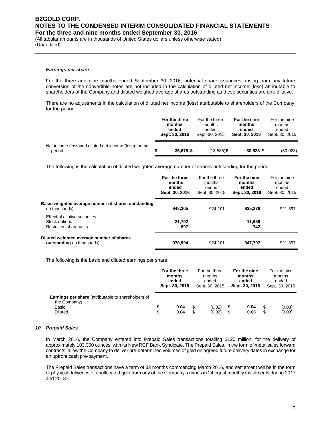(All tabular amounts are in thousands of United States dollars unless otherwise stated) (Unaudited)

#### *Earnings per share*

For the three and nine months ended September 30, 2016, potential share issuances arising from any future conversion of the convertible notes are not included in the calculation of diluted net income (loss) attributable to shareholders of the Company and diluted weighed average shares outstanding as these securities are anti-dilutive.

There are no adjustments in the calculation of diluted net income (loss) attributable to shareholders of the Company for the period:

|                                                                   | For the three<br>months<br>ended<br>Sept. 30, 2016 | For the three<br>months<br>ended<br>Sept. 30, 2015 | For the nine<br>months<br>ended<br>Sept. 30, 2016 | For the nine<br>months<br>ended<br>Sept. 30, 2015 |
|-------------------------------------------------------------------|----------------------------------------------------|----------------------------------------------------|---------------------------------------------------|---------------------------------------------------|
| Net income (loss) and diluted net income (loss) for the<br>period | 35,678 \$                                          | $(13,585)$ \$                                      | $30,523$ \$                                       | (30,028)                                          |

The following is the calculation of diluted weighted average number of shares outstanding for the period:

|                                                                          | For the three<br>months<br>ended<br>Sept. 30, 2016 | For the three<br>months<br>ended<br>Sept. 30, 2015 | For the nine<br>months<br>ended<br>Sept. 30, 2016 | For the nine<br>months<br>ended<br>Sept. 30, 2015 |
|--------------------------------------------------------------------------|----------------------------------------------------|----------------------------------------------------|---------------------------------------------------|---------------------------------------------------|
| Basic weighted average number of shares outstanding<br>(in thousands)    | 948.305                                            | 924.101                                            | 935.276                                           | 921.397                                           |
| Effect of dilutive securities<br>Stock options<br>Restricted share units | 21.792<br>897                                      | $\blacksquare$<br>$\,$                             | 11.689<br>742                                     |                                                   |
| Diluted weighted average number of shares<br>outstanding (in thousands)  | 970.994                                            | 924.101                                            | 947,707                                           | 921,397                                           |

The following is the basic and diluted earnings per share:

|                                                                                                       |   | For the three<br>months<br>ended<br>Sept. 30, 2016 |   | For the three<br>months<br>ended<br>Sept. 30, 2015 | For the nine<br>months<br>ended<br>Sept. 30, 2016 |              |         | For the nine<br>months<br>ended<br>Sept. 30, 2015 |
|-------------------------------------------------------------------------------------------------------|---|----------------------------------------------------|---|----------------------------------------------------|---------------------------------------------------|--------------|---------|---------------------------------------------------|
| <b>Earnings per share</b> (attributable to shareholders of<br>the Company)<br>Basic<br><b>Diluted</b> | S | 0.04<br>0.04                                       | S | (0.02)<br>(0.02)                                   | S<br>S                                            | 0.04<br>0.03 | S<br>\$ | (0.03)<br>(0.03)                                  |

### *10 Prepaid Sales*

In March 2016, the Company entered into Prepaid Sales transactions totalling \$120 million, for the delivery of approximately 103,300 ounces, with its New RCF Bank Syndicate. The Prepaid Sales, in the form of metal sales forward contracts, allow the Company to deliver pre-determined volumes of gold on agreed future delivery dates in exchange for an upfront cash pre-payment.

The Prepaid Sales transactions have a term of 33 months commencing March 2016, and settlement will be in the form of physical deliveries of unallocated gold from any of the Company's mines in 24 equal monthly instalments during 2017 and 2018.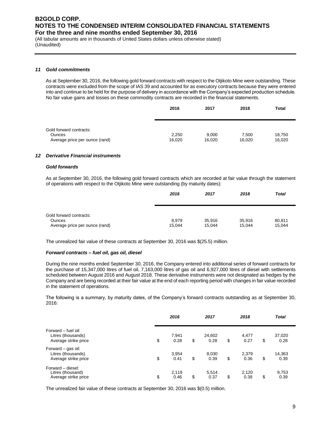(All tabular amounts are in thousands of United States dollars unless otherwise stated) (Unaudited)

### *11 Gold commitments*

As at September 30, 2016, the following gold forward contracts with respect to the Otjikoto Mine were outstanding. These contracts were excluded from the scope of IAS 39 and accounted for as executory contracts because they were entered into and continue to be held for the purpose of delivery in accordance with the Company's expected production schedule. No fair value gains and losses on these commodity contracts are recorded in the financial statements.

|                                                 | 2016            | 2017            | 2018            | <b>Total</b>     |
|-------------------------------------------------|-----------------|-----------------|-----------------|------------------|
|                                                 |                 |                 |                 |                  |
| Gold forward contracts:                         |                 |                 |                 |                  |
| <b>Ounces</b><br>Average price per ounce (rand) | 2,250<br>16,020 | 9,000<br>16,020 | 7.500<br>16.020 | 18.750<br>16,020 |

### *12 Derivative Financial instruments*

### *Gold forwards*

As at September 30, 2016, the following gold forward contracts which are recorded at fair value through the statement of operations with respect to the Otjikoto Mine were outstanding (by maturity dates):

|                                | 2016   | 2017   | 2018   | <b>Total</b> |
|--------------------------------|--------|--------|--------|--------------|
|                                |        |        |        |              |
| Gold forward contracts:        |        |        |        |              |
| <b>Ounces</b>                  | 8,979  | 35.916 | 35,916 | 80,811       |
| Average price per ounce (rand) | 15,044 | 15.044 | 15,044 | 15,044       |

The unrealized fair value of these contracts at September 30, 2016 was \$(25.5) million.

#### *Forward contracts – fuel oil, gas oil, diesel*

During the nine months ended September 30, 2016, the Company entered into additional series of forward contracts for the purchase of 15,347,000 litres of fuel oil, 7,163,000 litres of gas oil and 6,927,000 litres of diesel with settlements scheduled between August 2016 and August 2018. These derivative instruments were not designated as hedges by the Company and are being recorded at their fair value at the end of each reporting period with changes in fair value recorded in the statement of operations.

The following is a summary, by maturity dates, of the Company's forward contracts outstanding as at September 30, 2016:

|                                                                   | 2016                | 2017                 | 2018                | <b>Total</b>         |  |
|-------------------------------------------------------------------|---------------------|----------------------|---------------------|----------------------|--|
| Forward - fuel oil:<br>Litres (thousands)<br>Average strike price | \$<br>7,941<br>0.28 | \$<br>24,602<br>0.28 | \$<br>4,477<br>0.27 | \$<br>37,020<br>0.28 |  |
| Forward - gas oil:<br>Litres (thousands)<br>Average strike price  | \$<br>3,954<br>0.41 | \$<br>8,030<br>0.39  | \$<br>2,379<br>0.36 | \$<br>14,363<br>0.39 |  |
| Forward - diesel:<br>Litres (thousand)<br>Average strike price    | \$<br>2,119<br>0.46 | \$<br>5,514<br>0.37  | \$<br>2.120<br>0.38 | \$<br>9,753<br>0.39  |  |

The unrealized fair value of these contracts at September 30, 2016 was \$(0.5) million.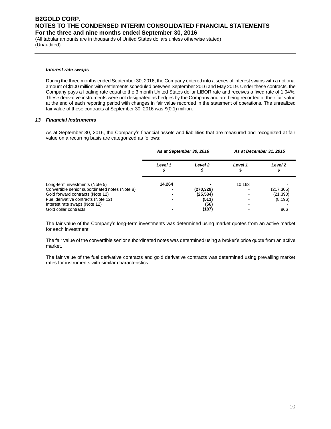(All tabular amounts are in thousands of United States dollars unless otherwise stated) (Unaudited)

#### *Interest rate swaps*

During the three months ended September 30, 2016, the Company entered into a series of interest swaps with a notional amount of \$100 million with settlements scheduled between September 2016 and May 2019. Under these contracts, the Company pays a floating rate equal to the 3 month United States dollar LIBOR rate and receives a fixed rate of 1.04%. These derivative instruments were not designated as hedges by the Company and are being recorded at their fair value at the end of each reporting period with changes in fair value recorded in the statement of operations. The unrealized fair value of these contracts at September 30, 2016 was \$(0.1) million.

#### *13 Financial Instruments*

As at September 30, 2016, the Company's financial assets and liabilities that are measured and recognized at fair value on a recurring basis are categorized as follows:

|                                                | As at September 30, 2016 |           | As at December 31, 2015 |               |
|------------------------------------------------|--------------------------|-----------|-------------------------|---------------|
|                                                | Level 1<br>Φ             | Level 2   | Level 1                 | Level 2<br>\$ |
| Long-term investments (Note 5)                 | 14.264                   |           | 10.163                  |               |
| Convertible senior subordinated notes (Note 8) |                          | (270,329) |                         | (217, 305)    |
| Gold forward contracts (Note 12)               |                          | (25, 534) |                         | (21,390)      |
| Fuel derivative contracts (Note 12)            |                          | (511)     |                         | (8, 196)      |
| Interest rate swaps (Note 12)                  |                          | (56)      |                         |               |
| Gold collar contracts                          |                          | (187)     |                         | 866           |

The fair value of the Company's long-term investments was determined using market quotes from an active market for each investment.

The fair value of the convertible senior subordinated notes was determined using a broker's price quote from an active market.

The fair value of the fuel derivative contracts and gold derivative contracts was determined using prevailing market rates for instruments with similar characteristics.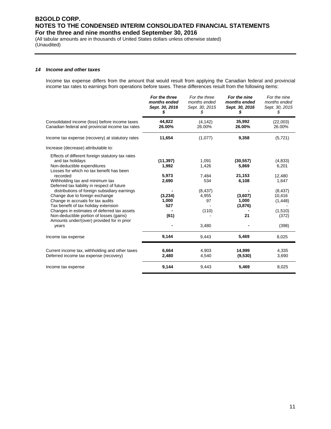(All tabular amounts are in thousands of United States dollars unless otherwise stated) (Unaudited)

### *14 Income and other taxes*

Income tax expense differs from the amount that would result from applying the Canadian federal and provincial income tax rates to earnings from operations before taxes. These differences result from the following items:

|                                                                                                                                                                                                                                                                                                                                                                      | For the three<br>months ended<br>Sept. 30, 2016<br>\$     | For the three<br>months ended<br>Sept. 30, 2015<br>S      | For the nine<br>months ended<br>Sept. 30, 2016<br>\$      | For the nine<br>months ended<br>Sept. 30, 2015<br>\$                  |
|----------------------------------------------------------------------------------------------------------------------------------------------------------------------------------------------------------------------------------------------------------------------------------------------------------------------------------------------------------------------|-----------------------------------------------------------|-----------------------------------------------------------|-----------------------------------------------------------|-----------------------------------------------------------------------|
| Consolidated income (loss) before income taxes<br>Canadian federal and provincial income tax rates                                                                                                                                                                                                                                                                   | 44,822<br>26.00%                                          | (4, 142)<br>26.00%                                        | 35,992<br>26.00%                                          | (22,003)<br>26.00%                                                    |
| Income tax expense (recovery) at statutory rates                                                                                                                                                                                                                                                                                                                     | 11,654                                                    | (1,077)                                                   | 9,358                                                     | (5, 721)                                                              |
| Increase (decrease) attributable to:                                                                                                                                                                                                                                                                                                                                 |                                                           |                                                           |                                                           |                                                                       |
| Effects of different foreign statutory tax rates<br>and tax holidays<br>Non-deductible expenditures<br>Losses for which no tax benefit has been<br>recorded<br>Withholding tax and minimum tax<br>Deferred tax liability in respect of future<br>distributions of foreign subsidiary earnings<br>Change due to foreign exchange<br>Change in accruals for tax audits | (11, 397)<br>1.992<br>5,973<br>2,690<br>(3, 234)<br>1,000 | 1,091<br>1.426<br>7,484<br>534<br>(8, 437)<br>4,955<br>97 | (30, 557)<br>5,869<br>21,153<br>6,108<br>(3,607)<br>1,000 | (4,833)<br>6,201<br>12,480<br>1,647<br>(8, 437)<br>10,416<br>(1, 448) |
| Tax benefit of tax holiday extension<br>Changes in estimates of deferred tax assets<br>Non-deductible portion of losses (gains)<br>Amounts under/(over) provided for in prior<br>years                                                                                                                                                                               | 527<br>(61)                                               | (110)<br>3,480                                            | (3, 876)<br>21                                            | (1,510)<br>(372)<br>(398)                                             |
| Income tax expense                                                                                                                                                                                                                                                                                                                                                   | 9,144                                                     | 9,443                                                     | 5,469                                                     | 8,025                                                                 |
| Current income tax, withholding and other taxes<br>Deferred income tax expense (recovery)                                                                                                                                                                                                                                                                            | 6,664<br>2,480                                            | 4,903<br>4,540                                            | 14,999<br>(9,530)                                         | 4,335<br>3,690                                                        |
| Income tax expense                                                                                                                                                                                                                                                                                                                                                   | 9,144                                                     | 9,443                                                     | 5,469                                                     | 8,025                                                                 |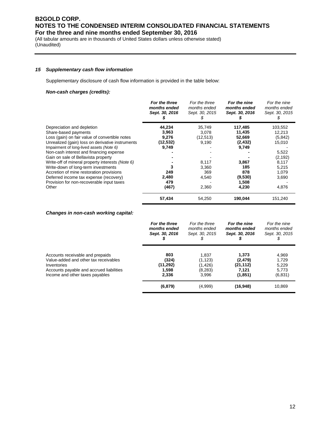(All tabular amounts are in thousands of United States dollars unless otherwise stated) (Unaudited)

### *15 Supplementary cash flow information*

Supplementary disclosure of cash flow information is provided in the table below:

### *Non-cash charges (credits):*

|                                                  | For the three<br>months ended<br>Sept. 30, 2016 | For the three<br>months ended<br>Sept. 30, 2015 | For the nine<br>months ended<br>Sept. 30, 2016 | For the nine<br>months ended<br>Sept. 30, 2015 |
|--------------------------------------------------|-------------------------------------------------|-------------------------------------------------|------------------------------------------------|------------------------------------------------|
| Depreciation and depletion                       | 44,234                                          | 35,749                                          | 117,485                                        | 103,552                                        |
| Share-based payments                             | 3,963                                           | 3,078                                           | 11,435                                         | 12,213                                         |
| Loss (gain) on fair value of convertible notes   | 9,276                                           | (12, 513)                                       | 52,669                                         | (5,842)                                        |
| Unrealized (gain) loss on derivative instruments | (12, 532)                                       | 9,190                                           | (2, 432)                                       | 15,010                                         |
| Impairment of long-lived assets (Note 6)         | 9,749                                           |                                                 | 9,749                                          |                                                |
| Non-cash interest and financing expense          |                                                 |                                                 |                                                | 5,522                                          |
| Gain on sale of Bellavista property              |                                                 |                                                 |                                                | (2, 192)                                       |
| Write-off of mineral property interests (Note 6) |                                                 | 8,117                                           | 3,867                                          | 8,117                                          |
| Write-down of long-term investments              |                                                 | 3,360                                           | 185                                            | 5,215                                          |
| Accretion of mine restoration provisions         | 249                                             | 369                                             | 878                                            | 1,079                                          |
| Deferred income tax expense (recovery)           | 2,480                                           | 4,540                                           | (9,530)                                        | 3,690                                          |
| Provision for non-recoverable input taxes        | 479                                             |                                                 | 1,508                                          |                                                |
| Other                                            | (467)                                           | 2,360                                           | 4,230                                          | 4,876                                          |
|                                                  | 57,434                                          | 54,250                                          | 190,044                                        | 151,240                                        |

### *Changes in non-cash working capital:*

|                                          | For the three  | For the three  | For the nine   | For the nine   |
|------------------------------------------|----------------|----------------|----------------|----------------|
|                                          | months ended   | months ended   | months ended   | months ended   |
|                                          | Sept. 30, 2016 | Sept. 30, 2015 | Sept. 30, 2016 | Sept. 30, 2015 |
| Accounts receivable and prepaids         | 803            | 1.837          | 1.373          | 4,969          |
| Value-added and other tax receivables    | (324)          | (1, 123)       | (2, 479)       | 1.729          |
| Inventories                              | (11, 292)      | (1,426)        | (21, 112)      | 5,229          |
| Accounts payable and accrued liabilities | 1.598          | (8,283)        | 7.121          | 5.773          |
| Income and other taxes payables          | 2,336          | 3.996          | (1, 851)       | (6,831)        |
|                                          | (6, 879)       | (4,999)        | (16, 948)      | 10.869         |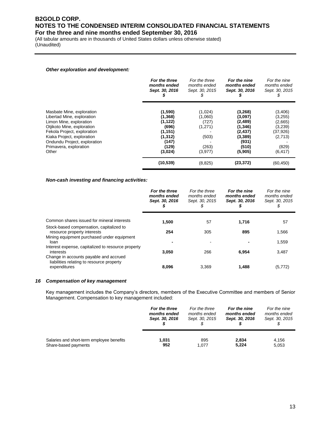(All tabular amounts are in thousands of United States dollars unless otherwise stated) (Unaudited)

### *Other exploration and development:*

|                                                                                      | For the three<br>months ended<br>Sept. 30, 2016 | For the three<br>months ended<br>Sept. 30, 2015 | For the nine<br>months ended<br>Sept. 30, 2016 | For the nine<br>months ended<br>Sept. 30, 2015<br>Φ |
|--------------------------------------------------------------------------------------|-------------------------------------------------|-------------------------------------------------|------------------------------------------------|-----------------------------------------------------|
| Masbate Mine, exploration<br>Libertad Mine, exploration                              | (1,590)<br>(1,368)<br>(1, 122)                  | (1,024)<br>(1,060)<br>(727)                     | (3,268)<br>(3,097)                             | (3,406)<br>(3,255)                                  |
| Limon Mine, exploration<br>Otjikoto Mine, exploration<br>Fekola Project, exploration | (696)<br>(1, 151)                               | (1,271)                                         | (2,489)<br>(1, 346)<br>(2, 437)                | (2,665)<br>(3,239)<br>(37, 926)                     |
| Kiaka Project, exploration<br>Ondundu Project, exploration                           | (1, 312)<br>(147)                               | (503)                                           | (3,389)<br>(931)                               | (2,713)                                             |
| Primavera, exploration<br>Other                                                      | (129)<br>(3,024)                                | (263)<br>(3,977)                                | (510)<br>(5,905)                               | (829)<br>(6, 417)                                   |
|                                                                                      | (10, 539)                                       | (8,825)                                         | (23, 372)                                      | (60, 450)                                           |

### *Non-cash investing and financing activities:*

|                                                                                                     | For the three<br>months ended<br>Sept. 30, 2016 | For the three<br>months ended<br>Sept. 30, 2015<br>S | For the nine<br>months ended<br>Sept. 30, 2016<br>J | For the nine<br>months ended<br>Sept. 30, 2015<br>\$ |
|-----------------------------------------------------------------------------------------------------|-------------------------------------------------|------------------------------------------------------|-----------------------------------------------------|------------------------------------------------------|
| Common shares issued for mineral interests                                                          | 1,500                                           | 57                                                   | 1,716                                               | 57                                                   |
| Stock-based compensation, capitalized to<br>resource property interests                             | 254                                             | 305                                                  | 895                                                 | 1,566                                                |
| Mining equipment purchased under equipment<br>loan                                                  |                                                 |                                                      |                                                     | 1,559                                                |
| Interest expense, capitalized to resource property<br>interests                                     | 3,050                                           | 266                                                  | 6,954                                               | 3,487                                                |
| Change in accounts payable and accrued<br>liabilities relating to resource property<br>expenditures | 8,096                                           | 3.369                                                | 1,488                                               | (5,772)                                              |

### *16 Compensation of key management*

Key management includes the Company's directors, members of the Executive Committee and members of Senior Management. Compensation to key management included:

|                                           | For the three  | For the three  | For the nine   | For the nine   |
|-------------------------------------------|----------------|----------------|----------------|----------------|
|                                           | months ended   | months ended   | months ended   | months ended   |
|                                           | Sept. 30, 2016 | Sept. 30, 2015 | Sept. 30, 2016 | Sept. 30, 2015 |
| Salaries and short-term employee benefits | 1.031          | 895            | 2.834          | 4,156          |
| Share-based payments                      | 952            | 1.077          | 5,224          | 5,053          |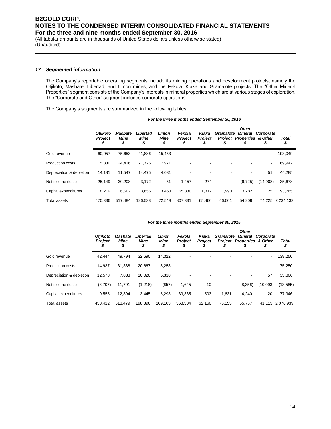(All tabular amounts are in thousands of United States dollars unless otherwise stated) (Unaudited)

### *17 Segmented information*

The Company's reportable operating segments include its mining operations and development projects, namely the Otjikoto, Masbate, Libertad, and Limon mines, and the Fekola, Kiaka and Gramalote projects. The "Other Mineral Properties" segment consists of the Company's interests in mineral properties which are at various stages of exploration. The "Corporate and Other" segment includes corporate operations.

The Company's segments are summarized in the following tables:

| For the three months ended September 30, 2016 |  |
|-----------------------------------------------|--|
|-----------------------------------------------|--|

|                          | <b>Otjikoto</b><br><b>Project</b> | <b>Masbate</b><br>Mine<br>\$ | Libertad<br>Mine<br>\$ | Limon<br><b>Mine</b><br>\$ | Fekola<br>Project<br>D | Kiaka<br>Proiect | Gramalote                | <b>Other</b><br><b>Mineral</b><br>Project Properties & Other | Corporate<br>\$ | <b>Total</b><br>\$ |
|--------------------------|-----------------------------------|------------------------------|------------------------|----------------------------|------------------------|------------------|--------------------------|--------------------------------------------------------------|-----------------|--------------------|
| Gold revenue             | 60.057                            | 75,653                       | 41.886                 | 15,453                     |                        | -                | ٠                        |                                                              | $\blacksquare$  | 193,049            |
| Production costs         | 15.830                            | 24,416                       | 21.725                 | 7.971                      |                        |                  | ٠                        |                                                              | $\blacksquare$  | 69,942             |
| Depreciation & depletion | 14,181                            | 11.547                       | 14.475                 | 4,031                      |                        | ٠                | ٠                        |                                                              | 51              | 44,285             |
| Net income (loss)        | 25,149                            | 30.208                       | 3,172                  | 51                         | 1,457                  | 274              | $\overline{\phantom{a}}$ | (9, 725)                                                     | (14,908)        | 35,678             |
| Capital expenditures     | 8,219                             | 6,502                        | 3,655                  | 3,450                      | 65,330                 | 1,312            | 1,990                    | 3,282                                                        | 25              | 93,765             |
| <b>Total assets</b>      | 470.336                           | 517.484                      | 126.538                | 72.549                     | 807.331                | 65.460           | 46.001                   | 54.209                                                       |                 | 74.225 2.234.133   |

#### *For the three months ended September 30, 2015*

|                          | <b>Otiikoto</b><br><b>Project</b> | Masbate<br>Mine<br>\$ | Libertad<br>Mine<br>\$ | Limon<br>Mine<br>\$ | Fekola<br><b>Project</b> | Kiaka<br><b>Project</b> | Gramalote<br><b>Project</b> | <b>Other</b><br>Mineral<br><b>Properties &amp; Other</b> | Corporate<br>\$ | <b>Total</b><br>\$ |
|--------------------------|-----------------------------------|-----------------------|------------------------|---------------------|--------------------------|-------------------------|-----------------------------|----------------------------------------------------------|-----------------|--------------------|
| Gold revenue             | 42.444                            | 49,794                | 32.690                 | 14,322              |                          |                         |                             |                                                          |                 | 139,250            |
| Production costs         | 14.937                            | 31.388                | 20,667                 | 8,258               |                          | -                       | ٠                           |                                                          |                 | 75,250             |
| Depreciation & depletion | 12.578                            | 7.833                 | 10.020                 | 5,318               |                          | -                       |                             |                                                          | 57              | 35,806             |
| Net income (loss)        | (6,707)                           | 11,791                | (1,218)                | (657)               | 1,645                    | 10                      | $\overline{\phantom{a}}$    | (8,356)                                                  | (10,093)        | (13,585)           |
| Capital expenditures     | 9,555                             | 12.894                | 3.445                  | 6.293               | 39.365                   | 503                     | 1.631                       | 4.240                                                    | 20              | 77,946             |
| Total assets             | 453.412                           | 513,479               | 198,396                | 109.163             | 568.304                  | 62.160                  | 75.155                      | 55.757                                                   |                 | 41,113 2,076,939   |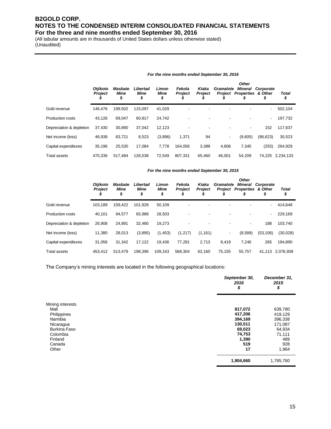(All tabular amounts are in thousands of United States dollars unless otherwise stated) (Unaudited)

| For the nine months ended September 30, 2016 |  |
|----------------------------------------------|--|
|----------------------------------------------|--|

|                          | Otjikoto<br><b>Project</b> | Masbate<br>Mine<br>\$ | Libertad<br>Mine<br>\$ | Limon<br>Mine<br>\$ | Fekola<br><b>Project</b> | Kiaka<br><b>Project</b> | Gramalote<br><b>Project</b> | <b>Other</b><br><b>Mineral</b><br><b>Properties &amp; Other</b><br>S | Corporate<br>\$          | <b>Total</b><br>\$ |
|--------------------------|----------------------------|-----------------------|------------------------|---------------------|--------------------------|-------------------------|-----------------------------|----------------------------------------------------------------------|--------------------------|--------------------|
| Gold revenue             | 146.476                    | 199.502               | 115,097                | 41,029              | -                        |                         |                             | $\blacksquare$                                                       | $\overline{\phantom{a}}$ | 502,104            |
| <b>Production costs</b>  | 43.126                     | 69.047                | 60,817                 | 24,742              |                          |                         |                             | ٠                                                                    | $\overline{\phantom{a}}$ | 197,732            |
| Depreciation & depletion | 37.430                     | 30.890                | 37.042                 | 12.123              |                          |                         |                             | $\blacksquare$                                                       | 152                      | 117,637            |
| Net income (loss)        | 46.938                     | 83,721                | 8,523                  | (3,896)             | 1,371                    | 94                      | ٠                           | (9,605)                                                              | (96, 623)                | 30,523             |
| Capital expenditures     | 35.196                     | 25,530                | 17,084                 | 7.778               | 164.056                  | 3,389                   | 4.806                       | 7.345                                                                | (255)                    | 264,929            |
| Total assets             | 470.336                    | 517.484               | 126.538                | 72.549              | 807.331                  | 65.460                  | 46.001                      | 54.209                                                               | 74.225                   | 2,234,133          |

#### *For the nine months ended September 30, 2015*

|                          | <b>Otiikoto</b><br><b>Project</b> | Masbate<br>Mine<br>\$ | Libertad<br>Mine<br>\$ | Limon<br>Mine<br>\$ | Fekola<br><b>Project</b> | Kiaka<br><b>Project</b> | Gramalote<br><b>Project</b> | <b>Other</b><br><b>Mineral</b><br><b>Properties &amp; Other</b><br>5 | Corporate<br>\$ | Total<br>\$ |
|--------------------------|-----------------------------------|-----------------------|------------------------|---------------------|--------------------------|-------------------------|-----------------------------|----------------------------------------------------------------------|-----------------|-------------|
| Gold revenue             | 103,189                           | 159.422               | 101,928                | 50,109              | ٠                        |                         |                             | ٠                                                                    |                 | 414,648     |
| <b>Production costs</b>  | 40.101                            | 94,577                | 65,988                 | 28,503              |                          |                         |                             | ٠                                                                    | $\blacksquare$  | 229,169     |
| Depreciation & depletion | 26,908                            | 24,891                | 32.480                 | 19,273              |                          |                         |                             | $\overline{\phantom{a}}$                                             | 188             | 103,740     |
| Net income (loss)        | 11.380                            | 28,013                | (3,895)                | (1, 453)            | (1,217)                  | (1, 161)                | ٠                           | (8,589)                                                              | (53, 106)       | (30,028)    |
| Capital expenditures     | 31.056                            | 31,342                | 17,122                 | 19.436              | 77,291                   | 2,713                   | 8.419                       | 7,246                                                                | 265             | 194,890     |
| <b>Total assets</b>      | 453.412                           | 513.479               | 198.396                | 109.163             | 568.304                  | 62,160                  | 75.155                      | 55,757                                                               | 41.113          | 2,076,939   |

The Company's mining interests are located in the following geographical locations:

|                     | September 30,<br>2016<br>\$ | December 31,<br>2015<br>\$ |
|---------------------|-----------------------------|----------------------------|
| Mining interests    |                             |                            |
| Mali                | 817,072                     | 639,780                    |
| Philippines         | 417,206                     | 419,129                    |
| Namibia             | 394,169                     | 396,338                    |
| Nicaragua           | 130,511                     | 171,087                    |
| <b>Burkina Faso</b> | 69,023                      | 64,934                     |
| Colombia            | 74,753                      | 71,111                     |
| Finland             | 1,390                       | 489                        |
| Canada              | 519                         | 928                        |
| Other               | 17                          | 1,964                      |
|                     | 1,904,660                   | 1,765,760                  |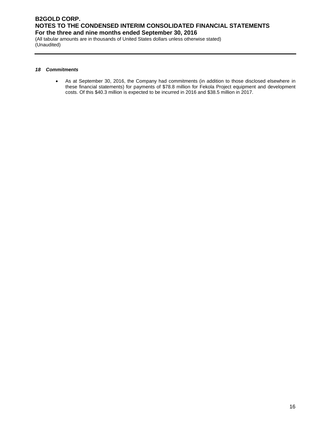(All tabular amounts are in thousands of United States dollars unless otherwise stated) (Unaudited)

### *18 Commitments*

 As at September 30, 2016, the Company had commitments (in addition to those disclosed elsewhere in these financial statements) for payments of \$78.8 million for Fekola Project equipment and development costs. Of this \$40.3 million is expected to be incurred in 2016 and \$38.5 million in 2017.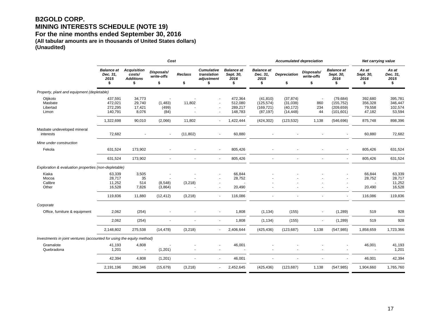## **B2GOLD CORP. MINING INTERESTS SCHEDULE (NOTE 19)**

**For the nine months ended September 30, 2016** 

**(All tabular amounts are in thousands of United States dollars) (Unaudited)**

|                                                                       |                                             |                                                        | Cost                           |                |                                                      |                                              |                                                    | <b>Accumulated depreciation</b>                  | Net carrying value             |                                                     |                                        |                                         |
|-----------------------------------------------------------------------|---------------------------------------------|--------------------------------------------------------|--------------------------------|----------------|------------------------------------------------------|----------------------------------------------|----------------------------------------------------|--------------------------------------------------|--------------------------------|-----------------------------------------------------|----------------------------------------|-----------------------------------------|
|                                                                       | <b>Balance at</b><br>Dec. 31,<br>2015<br>\$ | <b>Acquisition</b><br>costs/<br><b>Additions</b><br>\$ | Disposals/<br>write-offs<br>\$ | Reclass<br>\$  | <b>Cumulative</b><br>translation<br>adjustment<br>\$ | <b>Balance</b> at<br>Sept. 30,<br>2016<br>\$ | <b>Balance at</b><br>Dec. 31,<br>2015<br>\$        | <b>Depreciation</b><br>\$                        | Disposals/<br>write-offs<br>\$ | <b>Balance at</b><br>Sept. 30,<br>2016<br>\$        | As at<br>Sept. 30,<br>2016<br>\$       | As at<br>Dec. 31,<br>2015<br>\$         |
| Property, plant and equipment (depletable)                            |                                             |                                                        |                                |                |                                                      |                                              |                                                    |                                                  |                                |                                                     |                                        |                                         |
| Otjikoto<br>Masbate<br>Libertad<br>Limon                              | 437,591<br>472,021<br>272,295<br>140,791    | 34,773<br>29,740<br>17,421<br>8,076                    | (1,483)<br>(499)<br>(84)       | 11,802         | $\blacksquare$<br>$\blacksquare$<br>$\blacksquare$   | 472,364<br>512,080<br>289,217<br>148,783     | (41, 810)<br>(125, 574)<br>(169, 721)<br>(87, 197) | (37, 874)<br>(31, 038)<br>(40, 172)<br>(14, 448) | . .<br>860<br>234<br>44        | (79, 684)<br>(155, 752)<br>(209, 659)<br>(101, 601) | 392,680<br>356,328<br>79,558<br>47,182 | 395,781<br>346,447<br>102,574<br>53,594 |
|                                                                       | 1,322,698                                   | 90,010                                                 | (2,066)                        | 11,802         | $\blacksquare$                                       | 1,422,444                                    | (424, 302)                                         | (123, 532)                                       | 1,138                          | (546, 696)                                          | 875,748                                | 898,396                                 |
| Masbate undeveloped mineral<br>interests                              | 72,682                                      |                                                        | $\blacksquare$                 | (11, 802)      | $\sim$                                               | 60,880                                       |                                                    |                                                  |                                |                                                     | 60,880                                 | 72,682                                  |
| Mine under construction                                               |                                             |                                                        |                                |                |                                                      |                                              |                                                    |                                                  |                                |                                                     |                                        |                                         |
| Fekola                                                                | 631,524                                     | 173,902                                                |                                |                | $\blacksquare$                                       | 805,426                                      |                                                    |                                                  |                                |                                                     | 805,426                                | 631,524                                 |
|                                                                       | 631,524                                     | 173,902                                                |                                | $\blacksquare$ |                                                      | 805,426                                      | $\blacksquare$                                     |                                                  | ä,                             |                                                     | 805,426                                | 631,524                                 |
| Exploration & evaluation properties (non-depletable)                  |                                             |                                                        |                                |                |                                                      |                                              |                                                    |                                                  |                                |                                                     |                                        |                                         |
| Kiaka<br>Mocoa<br>Calibre<br>Other                                    | 63,339<br>28,717<br>11,252<br>16,528        | 3,505<br>35<br>514<br>7,826                            | (8,548)<br>(3,864)             | (3,218)        |                                                      | 66,844<br>28,752<br>20,490                   |                                                    |                                                  |                                |                                                     | 66,844<br>28,752<br>20,490             | 63,339<br>28,717<br>11,252<br>16,528    |
|                                                                       | 119,836                                     | 11,880                                                 | (12, 412)                      | (3,218)        | $\blacksquare$                                       | 116,086                                      | $\ddot{\phantom{1}}$                               | $\overline{a}$                                   | $\blacksquare$                 | ä,                                                  | 116,086                                | 119,836                                 |
| Corporate                                                             |                                             |                                                        |                                |                |                                                      |                                              |                                                    |                                                  |                                |                                                     |                                        |                                         |
| Office, furniture & equipment                                         | 2,062                                       | (254)                                                  |                                |                |                                                      | 1,808                                        | (1, 134)                                           | (155)                                            | $\blacksquare$                 | (1, 289)                                            | 519                                    | 928                                     |
|                                                                       | 2,062                                       | (254)                                                  | $\blacksquare$                 | $\blacksquare$ | $\blacksquare$                                       | 1,808                                        | (1, 134)                                           | (155)                                            | $\overline{\phantom{a}}$       | (1, 289)                                            | 519                                    | 928                                     |
|                                                                       | 2,148,802                                   | 275,538                                                | (14, 478)                      | (3,218)        | $\blacksquare$                                       | 2,406,644                                    | (425, 436)                                         | (123, 687)                                       | 1,138                          | (547, 985)                                          | 1,858,659                              | 1,723,366                               |
| Investments in joint ventures (accounted for using the equity method) |                                             |                                                        |                                |                |                                                      |                                              |                                                    |                                                  |                                |                                                     |                                        |                                         |
| Gramalote<br>Quebradona                                               | 41,193<br>1,201                             | 4,808<br>$\sim$                                        | (1,201)                        |                |                                                      | 46,001<br>$\blacksquare$                     |                                                    |                                                  |                                |                                                     | 46,001<br>$\overline{\phantom{a}}$     | 41,193<br>1,201                         |
|                                                                       | 42,394                                      | 4,808                                                  | (1,201)                        |                | $\blacksquare$                                       | 46,001                                       |                                                    |                                                  |                                |                                                     | 46,001                                 | 42,394                                  |
|                                                                       | 2,191,196                                   | 280,346                                                | (15, 679)                      | (3,218)        |                                                      | 2,452,645                                    | (425, 436)                                         | (123, 687)                                       | 1,138                          | (547, 985)                                          | 1,904,660                              | 1,765,760                               |